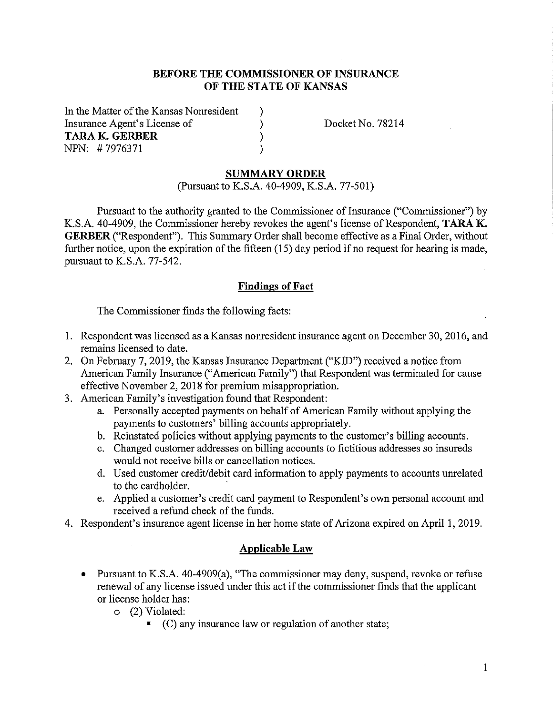## **BEFORE THE COMMISSIONER OF INSURANCE OF THE STATE OF KANSAS**

) ) ) )

In the Matter of the Kansas Nomesident Insurance Agent's License of **TARAK. GERBER**  NPN: # 7976371

Docket No. 78214

#### **SUMMARY ORDER**

(Pursuant to K.S.A. 40-4909, K.S.A. 77-501)

Pursuant to the authority granted to the Commissioner of Insurance ("Commissioner") by K.S.A. 40-4909, the Commissioner hereby revokes the agent's license of Respondent, **TARA K. GERBER** ("Respondent"). This Summary Order shall become effective as a Final Order, without further notice, upon the expiration of the fifteen (15) day period if no request for hearing is made, pursuant to K.S.A. 77-542.

### **Findings of Fact**

The Commissioner finds the following facts:

- 1. Respondent was licensed as a Kansas nomesident insurance agent on December 30, 2016, and remains licensed to date.
- 2. On February 7, 2019, the Kansas Insurance Department ("KID") received a notice from American Family Insurance ("American Family") that Respondent was terminated for cause effective November 2, 2018 for premium misappropriation.
- 3. American Family's investigation found that Respondent:
	- a. Personally accepted payments on behalf of American Family without applying the payments to customers' billing accounts appropriately.
	- b. Reinstated policies without applying payments to the customer's billing accounts.
	- c. Changed customer addresses on billing accounts to fictitious addresses so insureds would not receive bills or cancellation notices.
	- d. Used customer credit/debit card information to apply payments to accounts umelated to the cardholder.
	- e. Applied a customer's credit card payment to Respondent's own personal account and received a refund check of the funds.
- 4. Respondent's insurance agent license in her home state of Arizona expired on April 1, 2019.

#### **Applicable Law**

- Pursuant to K.S.A. 40-4909(a), "The commissioner may deny, suspend, revoke or refuse renewal of any license issued under this act if the commissioner finds that the applicant or license holder has:
	- o (2) Violated:
		- $\blacksquare$  (C) any insurance law or regulation of another state;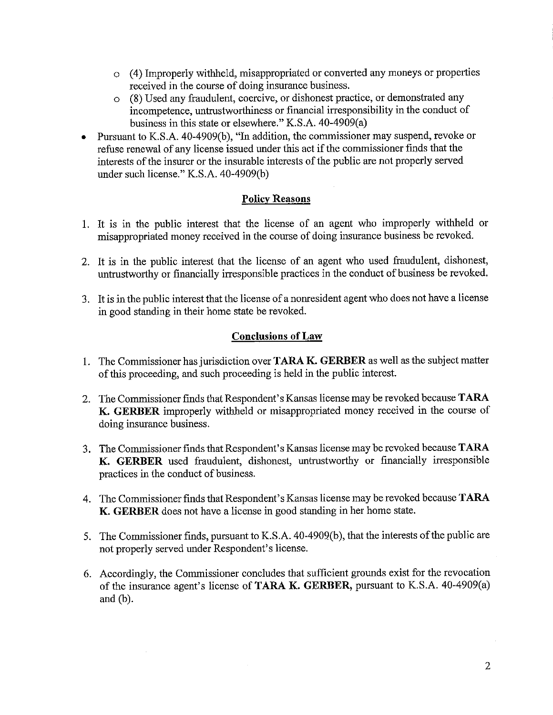- o ( 4) Improperly withheld, misappropriated or converted any moneys or properties received in the course of doing insurance business.
- o (8) Used any fraudulent, coercive, or dishonest practice, or demonstrated any incompetence, untrustworthiness or financial irresponsibility in the conduct of business in this state or elsewhere." K.S.A. 40-4909(a)
- Pursuant to K.S.A. 40-4909(b), "In addition, the commissioner may suspend, revoke or refuse renewal of any license issued under this act if the commissioner finds that the interests of the insurer or the insurable interests of the public are not properly served under such license." K.S.A. 40-4909(b)

# **Policy Reasons**

- 1. It is in the public interest that the license of an agent who improperly withheld or misappropriated money received in the course of doing insurance business be revoked.
- 2. It is in the public interest that the license of an agent who used fraudulent, dishonest, untrustworthy or financially irresponsible practices in the conduct of business be revoked.
- 3. It is in the public interest that the license of a nonresident agent who does not have a license in good standing in their home state be revoked.

# **Conclusions of Law**

- 1. The Commissioner has jurisdiction over **TARA K. GERBER** as well as the subject matter of this proceeding, and such proceeding is held in the public interest.
- 2. The Commissioner finds that Respondent's Kansas license may be revoked because **TARA K. GERBER** improperly withheld or misappropriated money received in the course of doing insurance business.
- 3. The Commissioner finds that Respondent's Kansas license may be revoked because **TARA K. GERBER** used fraudulent, dishonest, untrustworthy or financially irresponsible practices in the conduct of business.
- 4. The Commissioner finds that Respondent's Kansas license may be revoked because **TARA K. GERBER** does not have a license in good standing in her home state.
- 5. The Commissioner finds, pursuant to K.S .A. 40-4909(b ), that the interests of the public are not properly served under Respondent's license.
- 6. Accordingly, the Commissioner concludes that sufficient grounds exist for the revocation of the insurance agent's license of **TARA K. GERBER,** pursuant to K.S.A. 40-4909(a) and (b).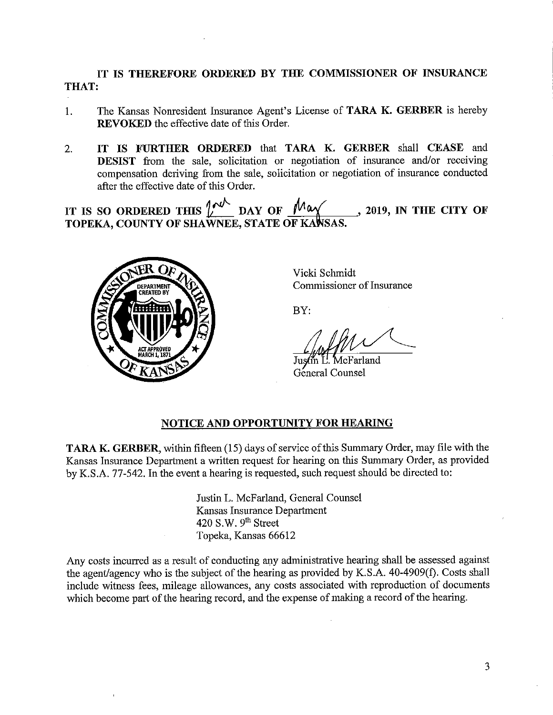**IT IS THEREFORE ORDERED BY THE COMMISSIONER OF INSURANCE THAT:** 

- 1. The Kansas Nonresident Insurance Agent's License of **TARA K. GERBER** is hereby **REVOKED** the effective date of this Order.
- 2. **IT IS FURTHER ORDERED** that **TARA K. GERBER** shall **CEASE** and **DESIST** from the sale, solicitation or negotiation of insurance and/or receiving compensation deriving from the sale, solicitation or negotiation of insurance conducted after the effective date of this Order.

IT IS SO ORDERED THIS  $\int_{0}^{+\infty}$  DAY OF  $\int_{0}^{+\infty}$  1019, IN THE CITY OF **TOPEKA, COUNTY OF SHAWNEE, STATE OF KAWSAS** 



Vicki Schmidt Commissioner of Insurance

BY:

BY:<br>Justin L. McFarland<br>General Counsel

General Counsel

# **NOTICE AND OPPORTUNITY FOR HEARING**

**TARA K. GERBER,** within fifteen (15) days of service of this Summary Order, may file with the Kansas Insurance Department a written request for hearing on this Summary Order, as provided by K.S.A. 77-542. In the event a hearing is requested, such request should be directed to:

> Justin L. McFarland, General Counsel Kansas Insurance Department 420 S.W.  $9<sup>th</sup>$  Street Topeka, Kansas 66612

Any costs incurred as a result of conducting any administrative hearing shall be assessed against the agent/agency who is the subject of the hearing as provided by K.S.A. 40-4909(f). Costs shall include witness fees, mileage allowances, any costs associated with reproduction of documents which become part of the hearing record, and the expense of making a record of the hearing.